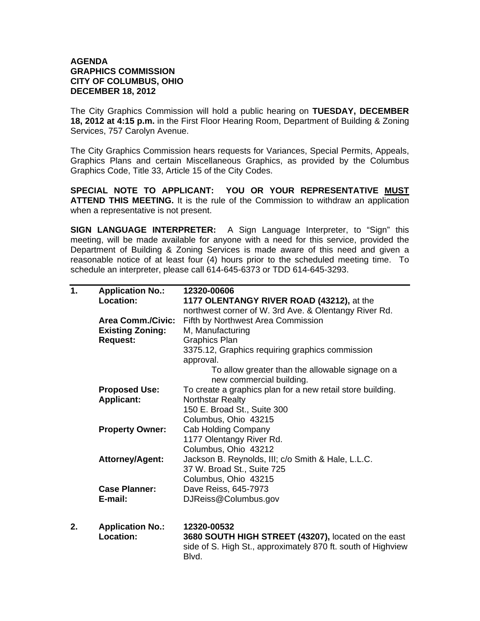## **AGENDA GRAPHICS COMMISSION CITY OF COLUMBUS, OHIO DECEMBER 18, 2012**

The City Graphics Commission will hold a public hearing on **TUESDAY, DECEMBER 18, 2012 at 4:15 p.m.** in the First Floor Hearing Room, Department of Building & Zoning Services, 757 Carolyn Avenue.

The City Graphics Commission hears requests for Variances, Special Permits, Appeals, Graphics Plans and certain Miscellaneous Graphics, as provided by the Columbus Graphics Code, Title 33, Article 15 of the City Codes.

**SPECIAL NOTE TO APPLICANT: YOU OR YOUR REPRESENTATIVE MUST ATTEND THIS MEETING.** It is the rule of the Commission to withdraw an application when a representative is not present.

**SIGN LANGUAGE INTERPRETER:** A Sign Language Interpreter, to "Sign" this meeting, will be made available for anyone with a need for this service, provided the Department of Building & Zoning Services is made aware of this need and given a reasonable notice of at least four (4) hours prior to the scheduled meeting time. To schedule an interpreter, please call 614-645-6373 or TDD 614-645-3293.

| 1. | <b>Application No.:</b><br><b>Location:</b>         | 12320-00606<br>1177 OLENTANGY RIVER ROAD (43212), at the                                                                     |
|----|-----------------------------------------------------|------------------------------------------------------------------------------------------------------------------------------|
|    | <b>Area Comm./Civic:</b><br><b>Existing Zoning:</b> | northwest corner of W. 3rd Ave. & Olentangy River Rd.<br>Fifth by Northwest Area Commission<br>M, Manufacturing              |
|    | <b>Request:</b>                                     | <b>Graphics Plan</b>                                                                                                         |
|    |                                                     | 3375.12, Graphics requiring graphics commission                                                                              |
|    |                                                     | approval.                                                                                                                    |
|    |                                                     | To allow greater than the allowable signage on a                                                                             |
|    |                                                     | new commercial building.                                                                                                     |
|    | <b>Proposed Use:</b>                                | To create a graphics plan for a new retail store building.                                                                   |
|    | <b>Applicant:</b>                                   | <b>Northstar Realty</b>                                                                                                      |
|    |                                                     | 150 E. Broad St., Suite 300                                                                                                  |
|    |                                                     | Columbus, Ohio 43215                                                                                                         |
|    | <b>Property Owner:</b>                              | Cab Holding Company                                                                                                          |
|    |                                                     | 1177 Olentangy River Rd.                                                                                                     |
|    |                                                     | Columbus, Ohio 43212                                                                                                         |
|    | <b>Attorney/Agent:</b>                              | Jackson B. Reynolds, III; c/o Smith & Hale, L.L.C.                                                                           |
|    |                                                     | 37 W. Broad St., Suite 725                                                                                                   |
|    |                                                     | Columbus, Ohio 43215                                                                                                         |
|    | <b>Case Planner:</b>                                | Dave Reiss, 645-7973                                                                                                         |
|    | E-mail:                                             | DJReiss@Columbus.gov                                                                                                         |
| 2. | <b>Application No.:</b>                             | 12320-00532                                                                                                                  |
|    | <b>Location:</b>                                    | 3680 SOUTH HIGH STREET (43207), located on the east<br>side of S. High St., approximately 870 ft. south of Highview<br>Blvd. |